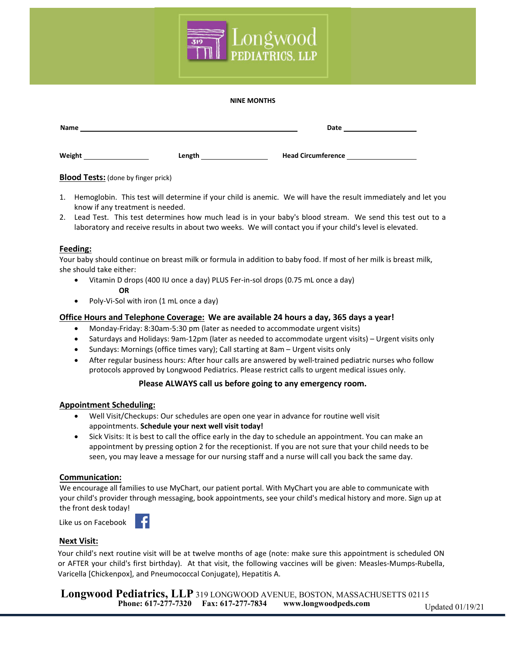

#### **NINE MONTHS**

| Name   |        | Date                      |
|--------|--------|---------------------------|
| Weight | Length | <b>Head Circumference</b> |

#### **Blood Tests:** (done by finger prick)

- 1. Hemoglobin. This test will determine if your child is anemic. We will have the result immediately and let you know if any treatment is needed.
- 2. Lead Test. This test determines how much lead is in your baby's blood stream. We send this test out to a laboratory and receive results in about two weeks. We will contact you if your child's level is elevated.

#### **Feeding:**

Your baby should continue on breast milk or formula in addition to baby food. If most of her milk is breast milk, she should take either:

- Vitamin D drops (400 IU once a day) PLUS Fer-in-sol drops (0.75 mL once a day) **OR**
- Poly-Vi-Sol with iron (1 mL once a day)

#### **Office Hours and Telephone Coverage: We are available 24 hours a day, 365 days a year!**

- x Monday-Friday: 8:30am-5:30 pm (later as needed to accommodate urgent visits)
- Saturdays and Holidays: 9am-12pm (later as needed to accommodate urgent visits) Urgent visits only
- Sundays: Mornings (office times vary); Call starting at 8am Urgent visits only
- After regular business hours: After hour calls are answered by well-trained pediatric nurses who follow protocols approved by Longwood Pediatrics. Please restrict calls to urgent medical issues only.

#### **Please ALWAYS call us before going to any emergency room.**

#### **Appointment Scheduling:**

- x Well Visit/Checkups: Our schedules are open one year in advance for routine well visit appointments. **Schedule your next well visit today!**
- Sick Visits: It is best to call the office early in the day to schedule an appointment. You can make an appointment by pressing option 2 for the receptionist. If you are not sure that your child needs to be seen, you may leave a message for our nursing staff and a nurse will call you back the same day.

#### **Communication:**

We encourage all families to use MyChart, our patient portal. With MyChart you are able to communicate with your child's provider through messaging, book appointments, see your child's medical history and more. Sign up at the front desk today!

Like us on Facebook

#### **Next Visit:**

Your child's next routine visit will be at twelve months of age (note: make sure this appointment is scheduled ON or AFTER your child's first birthday). At that visit, the following vaccines will be given: Measles-Mumps-Rubella, Varicella [Chickenpox], and Pneumococcal Conjugate), Hepatitis A.

**Phone: 617-277-7320 Fax: 617-277-7834 www.longwoodpeds.com Longwood Pediatrics, LLP** 319 LONGWOOD AVENUE, BOSTON, MASSACHUSETTS 02115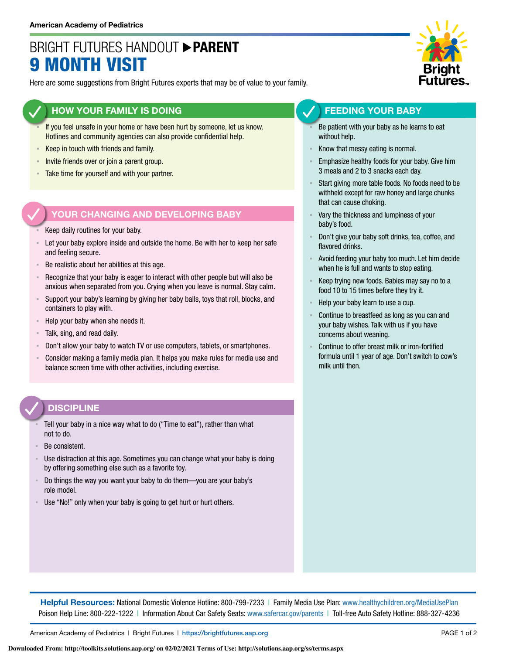# BRIGHT FUTURES HANDOUT **PARENT** 9 MONTH VISIT

Here are some suggestions from Bright Futures experts that may be of value to your family.

#### **HOW YOUR FAMILY IS DOING**

- If you feel unsafe in your home or have been hurt by someone, let us know. Hotlines and community agencies can also provide confidential help.
- Keep in touch with friends and family.
- **Invite friends over or join a parent group.**
- Take time for yourself and with your partner.

#### **YOUR CHANGING AND DEVELOPING BABY**

- Keep daily routines for your baby.
- Let your baby explore inside and outside the home. Be with her to keep her safe and feeling secure.
- Be realistic about her abilities at this age.
- Recognize that your baby is eager to interact with other people but will also be anxious when separated from you. Crying when you leave is normal. Stay calm.
- ƒ Support your baby's learning by giving her baby balls, toys that roll, blocks, and containers to play with.
- Help your baby when she needs it.
- ƒ Talk, sing, and read daily.
- Don't allow your baby to watch TV or use computers, tablets, or smartphones.
- Consider making a family media plan. It helps you make rules for media use and balance screen time with other activities, including exercise.

#### **DISCIPLINE**

- Tell your baby in a nice way what to do ("Time to eat"), rather than what not to do.
- Be consistent.
- Use distraction at this age. Sometimes you can change what your baby is doing by offering something else such as a favorite toy.
- ƒ Do things the way you want your baby to do them—you are your baby's role model.
- Use "No!" only when your baby is going to get hurt or hurt others.



#### **FEEDING YOUR BABY**

- Be patient with your baby as he learns to eat without help.
- Know that messy eating is normal.
- Emphasize healthy foods for your baby. Give him 3 meals and 2 to 3 snacks each day.
- Start giving more table foods. No foods need to be withheld except for raw honey and large chunks that can cause choking.
- Vary the thickness and lumpiness of your baby's food.
- Don't give your baby soft drinks, tea, coffee, and flavored drinks.
- Avoid feeding your baby too much. Let him decide when he is full and wants to stop eating.
- Keep trying new foods. Babies may say no to a food 10 to 15 times before they try it.
- Help your baby learn to use a cup.
- Continue to breastfeed as long as you can and your baby wishes. Talk with us if you have concerns about weaning.
- Continue to offer breast milk or iron-fortified formula until 1 year of age. Don't switch to cow's milk until then.

**Helpful Resources:** National Domestic Violence Hotline: 800-799-7233 | Family Media Use Plan: www.healthychildren.org/MediaUsePlan Poison Help Line: 800-222-1222 | Information About Car Safety Seats: www.safercar.gov/parents | Toll-free Auto Safety Hotline: 888-327-4236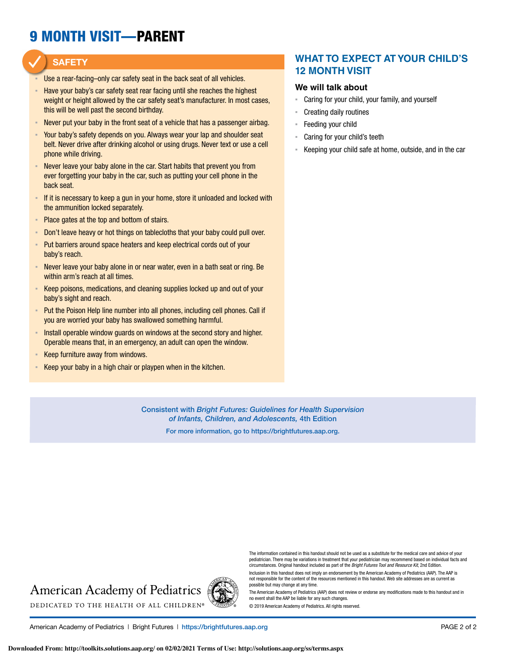# 9 MONTH VISIT—PARENT

#### **SAFETY**

- Use a rear-facing–only car safety seat in the back seat of all vehicles.
- Have your baby's car safety seat rear facing until she reaches the highest weight or height allowed by the car safety seat's manufacturer. In most cases, this will be well past the second birthday.
- Never put your baby in the front seat of a vehicle that has a passenger airbag.
- Your baby's safety depends on you. Always wear your lap and shoulder seat belt. Never drive after drinking alcohol or using drugs. Never text or use a cell phone while driving.
- Never leave your baby alone in the car. Start habits that prevent you from ever forgetting your baby in the car, such as putting your cell phone in the back seat.
- **F** If it is necessary to keep a gun in your home, store it unloaded and locked with the ammunition locked separately.
- Place gates at the top and bottom of stairs.
- Don't leave heavy or hot things on tablecloths that your baby could pull over.
- ƒ Put barriers around space heaters and keep electrical cords out of your baby's reach.
- Never leave your baby alone in or near water, even in a bath seat or ring. Be within arm's reach at all times.
- Keep poisons, medications, and cleaning supplies locked up and out of your baby's sight and reach.
- Put the Poison Help line number into all phones, including cell phones. Call if you are worried your baby has swallowed something harmful.
- Install operable window guards on windows at the second story and higher. Operable means that, in an emergency, an adult can open the window.
- ƒ Keep furniture away from windows.
- Keep your baby in a high chair or playpen when in the kitchen.

#### **WHAT TO EXPECT AT YOUR CHILD'S 12 MONTH VISIT**

#### **We will talk about**

- Caring for your child, your family, and yourself
- Creating daily routines
- Feeding your child
- ƒ Caring for your child's teeth
- Keeping your child safe at home, outside, and in the car

Consistent with *Bright Futures: Guidelines for Health Supervision of Infants, Children, and Adolescents,* 4th Edition

For more information, go to https://brightfutures.aap.org.

# **American Academy of Pediatrics**



The information contained in this handout should not be used as a substitute for the medical care and advice of your pediatrician. There may be variations in treatment that your pediatrician may recommend based on individual facts and circumstances. Original handout included as part of the *Bright Futures Tool and Resource Kit*, 2nd Edition.

Inclusion in this handout does not imply an endorsement by the American Academy of Pediatrics (AAP). The AAP is not responsible for the content of the resources mentioned in this handout. Web site addresses are as current as possible but may change at any time.

The American Academy of Pediatrics (AAP) does not review or endorse any modifications made to this handout and in no event shall the AAP be liable for any such changes.

© 2019 American Academy of Pediatrics. All rights reserved.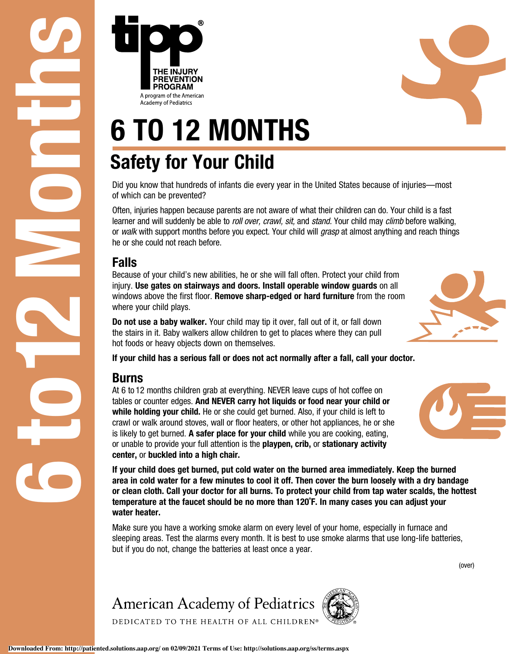of which can be prevented?

Often, injuries happen because parents are not aware of what their children can do. Your child is a fast learner and will suddenly be able to *roll over, crawl, sit,* and *stand.* Your child may *climb* before walking, or *walk* with support months before you expect. Your child will *grasp* at almost anything and reach things he or she could not reach before.

## Falls

Because of your child's new abilities, he or she will fall often. Protect your child from injury. Use gates on stairways and doors. Install operable window guards on all windows above the first floor. **Remove sharp-edged or hard furniture** from the room where your child plays.

Do not use a baby walker. Your child may tip it over, fall out of it, or fall down the stairs in it. Baby walkers allow children to get to places where they can pull hot foods or heavy objects down on themselves.

If your child has a serious fall or does not act normally after a fall, call your doctor.

## Burns

**6 To 12 MoNTHS**<br> **6 To 12 MoNTHS**<br>
Bafety for Your Child<br>
Barylands and presented?<br> **6 To 12** MoNTHS<br>
Barylands and presented?<br> **6** To 12 MoNTHS<br>
Data where the united States because of injuries—most<br>
are not will also ge At 6 to 12 months children grab at everything. NEVER leave cups of hot coffee on tables or counter edges. And NEVER carry hot liquids or food near your child or while holding your child. He or she could get burned. Also, if your child is left to crawl or walk around stoves, wall or floor heaters, or other hot appliances, he or she is likely to get burned. A safer place for your child while you are cooking, eating, or unable to provide your full attention is the playpen, crib, or stationary activity center, or buckled into a high chair.

If your child does get burned, put cold water on the burned area immediately. Keep the burned area in cold water for a few minutes to cool it off. Then cover the burn loosely with a dry bandage or clean cloth. Call your doctor for all burns. To protect your child from tap water scalds, the hottest temperature at the faucet should be no more than 120˚F. In many cases you can adjust your water heater.

Make sure you have a working smoke alarm on every level of your home, especially in furnace and sleeping areas. Test the alarms every month. It is best to use smoke alarms that use long-life batteries, but if you do not, change the batteries at least once a year.

# **American Academy of Pediatrics**

DEDICATED TO THE HEALTH OF ALL CHILDREN®









(over)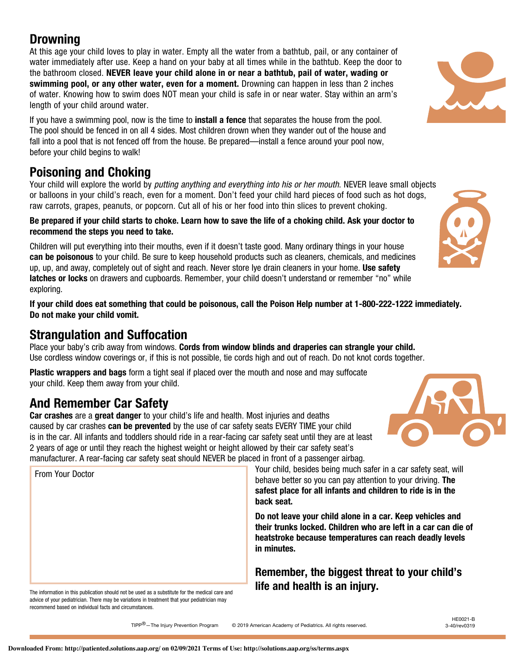## **Drowning**

At this age your child loves to play in water. Empty all the water from a bathtub, pail, or any container of water immediately after use. Keep a hand on your baby at all times while in the bathtub. Keep the door to the bathroom closed. NEVER leave your child alone in or near a bathtub, pail of water, wading or swimming pool, or any other water, even for a moment. Drowning can happen in less than 2 inches of water. Knowing how to swim does NOT mean your child is safe in or near water. Stay within an arm's length of your child around water.

If you have a swimming pool, now is the time to **install a fence** that separates the house from the pool. The pool should be fenced in on all 4 sides. Most children drown when they wander out of the house and fall into a pool that is not fenced off from the house. Be prepared—install a fence around your pool now, before your child begins to walk!

# Poisoning and Choking

Your child will explore the world by *putting anything and everything into his or her mouth*. NEVER leave small objects or balloons in your child's reach, even for a moment. Don't feed your child hard pieces of food such as hot dogs, raw carrots, grapes, peanuts, or popcorn. Cut all of his or her food into thin slices to prevent choking.

Be prepared if your child starts to choke. Learn how to save the life of a choking child. Ask your doctor to recommend the steps you need to take.

Children will put everything into their mouths, even if it doesn't taste good. Many ordinary things in your house can be poisonous to your child. Be sure to keep household products such as cleaners, chemicals, and medicines up, up, and away, completely out of sight and reach. Never store lye drain cleaners in your home. Use safety latches or locks on drawers and cupboards. Remember, your child doesn't understand or remember "no" while exploring.

If your child does eat something that could be poisonous, call the Poison Help number at 1-800-222-1222 immediately. Do not make your child vomit.

# Strangulation and Suffocation

Place your baby's crib away from windows. Cords from window blinds and draperies can strangle your child. Use cordless window coverings or, if this is not possible, tie cords high and out of reach. Do not knot cords together.

Plastic wrappers and bags form a tight seal if placed over the mouth and nose and may suffocate your child. Keep them away from your child.

# And Remember Car Safety

From Your Doctor

Car crashes are a great danger to your child's life and health. Most injuries and deaths caused by car crashes **can be prevented** by the use of car safety seats EVERY TIME your child is in the car. All infants and toddlers should ride in a rear-facing car safety seat until they are at least 2 years of age or until they reach the highest weight or height allowed by their car safety seat's manufacturer. A rear-facing car safety seat should NEVER be placed in front of a passenger airbag.

> Your child, besides being much safer in a car safety seat, will behave better so you can pay attention to your driving. The safest place for all infants and children to ride is in the back seat.

Do not leave your child alone in a car. Keep vehicles and their trunks locked. Children who are left in a car can die of heatstroke because temperatures can reach deadly levels in minutes.

Remember, the biggest threat to your child's life and health is an injury.

The information in this publication should not be used as a substitute for the medical care and advice of your pediatrician. There may be variations in treatment that your pediatrician may recommend based on individual facts and circumstances.

TIPP<sup>®</sup>-The Injury Prevention Program © 2019 American Academy of Pediatrics. All rights reserved.





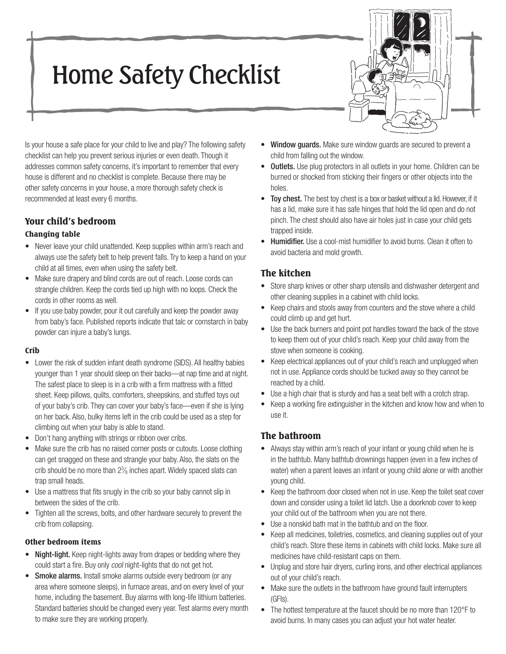# Home Safety Checklist



Is your house a safe place for your child to live and play? The following safety checklist can help you prevent serious injuries or even death. Though it addresses common safety concerns, it's important to remember that every house is different and no checklist is complete. Because there may be other safety concerns in your house, a more thorough safety check is recommended at least every 6 months.

## Your child's bedroom

#### Changing table

- Never leave your child unattended. Keep supplies within arm's reach and always use the safety belt to help prevent falls. Try to keep a hand on your child at all times, even when using the safety belt.
- Make sure drapery and blind cords are out of reach. Loose cords can strangle children. Keep the cords tied up high with no loops. Check the cords in other rooms as well.
- If you use baby powder, pour it out carefully and keep the powder away from baby's face. Published reports indicate that talc or cornstarch in baby powder can injure a baby's lungs.

#### Crib

- Lower the risk of sudden infant death syndrome (SIDS). All healthy babies younger than 1 year should sleep on their backs—at nap time and at night. The safest place to sleep is in a crib with a firm mattress with a fitted sheet. Keep pillows, quilts, comforters, sheepskins, and stuffed toys out of your baby's crib. They can cover your baby's face—even if she is lying on her back. Also, bulky items left in the crib could be used as a step for climbing out when your baby is able to stand.
- Don't hang anything with strings or ribbon over cribs.
- Make sure the crib has no raised corner posts or cutouts. Loose clothing can get snagged on these and strangle your baby. Also, the slats on the crib should be no more than 23 ⁄8 inches apart. Widely spaced slats can trap small heads.
- Use a mattress that fits snugly in the crib so your baby cannot slip in between the sides of the crib.
- Tighten all the screws, bolts, and other hardware securely to prevent the crib from collapsing.

#### Other bedroom items

- Night-light. Keep night-lights away from drapes or bedding where they could start a fire. Buy only cool night-lights that do not get hot.
- Smoke alarms. Install smoke alarms outside every bedroom (or any area where someone sleeps), in furnace areas, and on every level of your home, including the basement. Buy alarms with long-life lithium batteries. Standard batteries should be changed every year. Test alarms every month to make sure they are working properly.
- Window guards. Make sure window guards are secured to prevent a child from falling out the window.
- Outlets. Use plug protectors in all outlets in your home. Children can be burned or shocked from sticking their fingers or other objects into the holes.
- **Toy chest.** The best toy chest is a box or basket without a lid. However, if it has a lid, make sure it has safe hinges that hold the lid open and do not pinch. The chest should also have air holes just in case your child gets trapped inside.
- **Humidifier.** Use a cool-mist humidifier to avoid burns. Clean it often to avoid bacteria and mold growth.

## The kitchen

- Store sharp knives or other sharp utensils and dishwasher detergent and other cleaning supplies in a cabinet with child locks.
- Keep chairs and stools away from counters and the stove where a child could climb up and get hurt.
- Use the back burners and point pot handles toward the back of the stove to keep them out of your child's reach. Keep your child away from the stove when someone is cooking.
- Keep electrical appliances out of your child's reach and unplugged when not in use. Appliance cords should be tucked away so they cannot be reached by a child.
- Use a high chair that is sturdy and has a seat belt with a crotch strap.
- Keep a working fire extinguisher in the kitchen and know how and when to use it.

## The bathroom

- Always stay within arm's reach of your infant or young child when he is in the bathtub. Many bathtub drownings happen (even in a few inches of water) when a parent leaves an infant or young child alone or with another young child.
- Keep the bathroom door closed when not in use. Keep the toilet seat cover down and consider using a toilet lid latch. Use a doorknob cover to keep your child out of the bathroom when you are not there.
- Use a nonskid bath mat in the bathtub and on the floor.
- Keep all medicines, toiletries, cosmetics, and cleaning supplies out of your child's reach. Store these items in cabinets with child locks. Make sure all medicines have child-resistant caps on them.
- Unplug and store hair dryers, curling irons, and other electrical appliances out of your child's reach.
- Make sure the outlets in the bathroom have ground fault interrupters (GFIs).
- The hottest temperature at the faucet should be no more than 120°F to avoid burns. In many cases you can adjust your hot water heater.